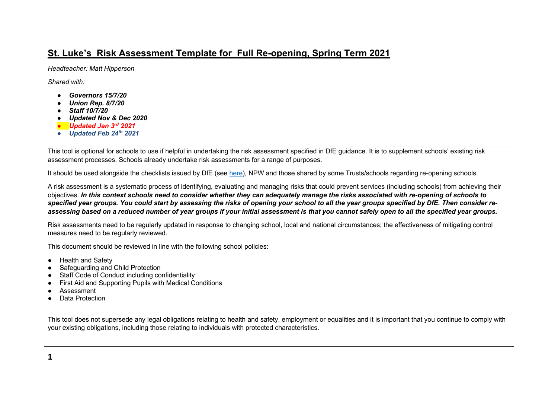# **St. Luke's Risk Assessment Template for Full Re-opening, Spring Term 2021**

*Headteacher: Matt Hipperson*

*Shared with:*

- *Governors 15/7/20*
- *Union Rep. 8/7/20*
- *Staff 10/7/20*
- *Updated Nov & Dec 2020*
- *Updated Jan 3rd 2021*
- *Updated Feb 24th 2021*

This tool is optional for schools to use if helpful in undertaking the risk assessment specified in DfE guidance. It is to supplement schools' existing risk assessment processes. Schools already undertake risk assessments for a range of purposes.

It should be used alongside the checklists issued by DfE (see here), NPW and those shared by some Trusts/schools regarding re-opening schools.

A risk assessment is a systematic process of identifying, evaluating and managing risks that could prevent services (including schools) from achieving their objectives. *In this context schools need to consider whether they can adequately manage the risks associated with re-opening of schools to specified year groups. You could start by assessing the risks of opening your school to all the year groups specified by DfE. Then consider reassessing based on a reduced number of year groups if your initial assessment is that you cannot safely open to all the specified year groups.*

Risk assessments need to be regularly updated in response to changing school, local and national circumstances; the effectiveness of mitigating control measures need to be regularly reviewed.

This document should be reviewed in line with the following school policies:

- Health and Safety
- **Safeguarding and Child Protection**
- Staff Code of Conduct including confidentiality
- First Aid and Supporting Pupils with Medical Conditions
- **Assessment**
- Data Protection

This tool does not supersede any legal obligations relating to health and safety, employment or equalities and it is important that you continue to comply with your existing obligations, including those relating to individuals with protected characteristics.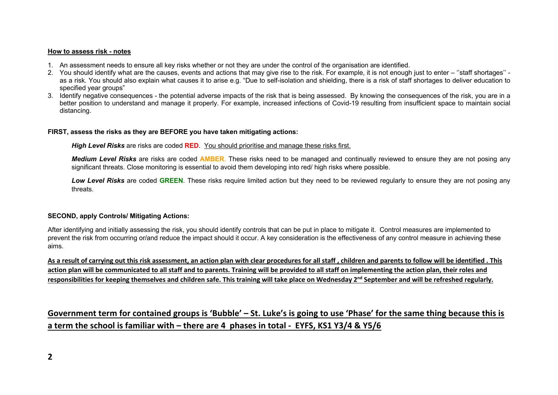#### **How to assess risk - notes**

- 1. An assessment needs to ensure all key risks whether or not they are under the control of the organisation are identified.
- 2. You should identify what are the causes, events and actions that may give rise to the risk. For example, it is not enough just to enter ''staff shortages'' as a risk. You should also explain what causes it to arise e.g. "Due to self-isolation and shielding, there is a risk of staff shortages to deliver education to specified year groups"
- 3. Identify negative consequences the potential adverse impacts of the risk that is being assessed. By knowing the consequences of the risk, you are in a better position to understand and manage it properly. For example, increased infections of Covid-19 resulting from insufficient space to maintain social distancing.

#### **FIRST, assess the risks as they are BEFORE you have taken mitigating actions:**

*High Level Risks* are risks are coded **RED**. You should prioritise and manage these risks first.

*Medium Level Risks* are risks are coded **AMBER**. These risks need to be managed and continually reviewed to ensure they are not posing any significant threats. Close monitoring is essential to avoid them developing into red/ high risks where possible.

Low Level Risks are coded GREEN. These risks require limited action but they need to be reviewed reqularly to ensure they are not posing any threats.

### **SECOND, apply Controls/ Mitigating Actions:**

After identifying and initially assessing the risk, you should identify controls that can be put in place to mitigate it. Control measures are implemented to prevent the risk from occurring or/and reduce the impact should it occur. A key consideration is the effectiveness of any control measure in achieving these aims.

**As a result of carrying out this risk assessment, an action plan with clear procedures for all staff , children and parents to follow will be identified . This action plan will be communicated to all staff and to parents. Training will be provided to all staff on implementing the action plan, their roles and responsibilities for keeping themselves and children safe. This training will take place on Wednesday 2nd September and will be refreshed regularly.**

**Government term for contained groups is 'Bubble' – St. Luke's is going to use 'Phase' for the same thing because this is a term the school is familiar with – there are 4 phases in total - EYFS, KS1 Y3/4 & Y5/6**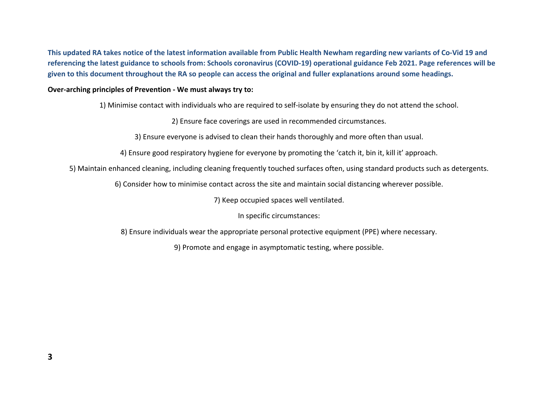**This updated RA takes notice of the latest information available from Public Health Newham regarding new variants of Co-Vid 19 and referencing the latest guidance to schools from: Schools coronavirus (COVID-19) operational guidance Feb 2021. Page references will be given to this document throughout the RA so people can access the original and fuller explanations around some headings.**

## **Over-arching principles of Prevention - We must always try to:**

1) Minimise contact with individuals who are required to self-isolate by ensuring they do not attend the school.

2) Ensure face coverings are used in recommended circumstances.

3) Ensure everyone is advised to clean their hands thoroughly and more often than usual.

4) Ensure good respiratory hygiene for everyone by promoting the 'catch it, bin it, kill it' approach.

5) Maintain enhanced cleaning, including cleaning frequently touched surfaces often, using standard products such as detergents.

6) Consider how to minimise contact across the site and maintain social distancing wherever possible.

7) Keep occupied spaces well ventilated.

In specific circumstances:

8) Ensure individuals wear the appropriate personal protective equipment (PPE) where necessary.

9) Promote and engage in asymptomatic testing, where possible.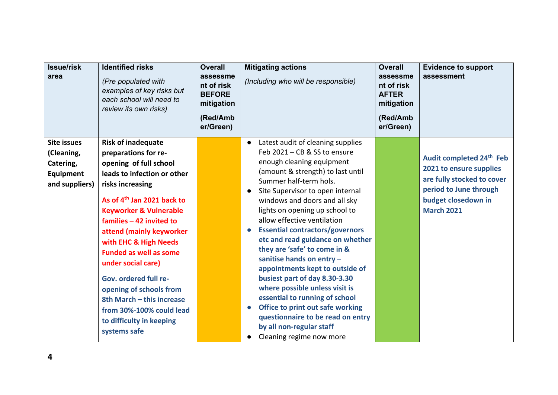| <b>Issue/risk</b><br>area                                                           | <b>Identified risks</b><br>(Pre populated with<br>examples of key risks but<br>each school will need to<br>review its own risks)                                                                                                                                                                                                                                               | <b>Overall</b><br>assessme<br>nt of risk<br><b>BEFORE</b><br>mitigation<br>(Red/Amb<br>er/Green) | <b>Mitigating actions</b><br>(Including who will be responsible)                                                                                                                                                                                                                                                                                                                                                                                                                                                                             | <b>Overall</b><br>assessme<br>nt of risk<br><b>AFTER</b><br>mitigation<br>(Red/Amb<br>er/Green) | <b>Evidence to support</b><br>assessment                                                                                                                            |
|-------------------------------------------------------------------------------------|--------------------------------------------------------------------------------------------------------------------------------------------------------------------------------------------------------------------------------------------------------------------------------------------------------------------------------------------------------------------------------|--------------------------------------------------------------------------------------------------|----------------------------------------------------------------------------------------------------------------------------------------------------------------------------------------------------------------------------------------------------------------------------------------------------------------------------------------------------------------------------------------------------------------------------------------------------------------------------------------------------------------------------------------------|-------------------------------------------------------------------------------------------------|---------------------------------------------------------------------------------------------------------------------------------------------------------------------|
| <b>Site issues</b><br>(Cleaning,<br>Catering,<br><b>Equipment</b><br>and suppliers) | <b>Risk of inadequate</b><br>preparations for re-<br>opening of full school<br>leads to infection or other<br>risks increasing<br>As of 4 <sup>th</sup> Jan 2021 back to<br><b>Keyworker &amp; Vulnerable</b><br>families - 42 invited to<br>attend (mainly keyworker<br>with EHC & High Needs<br><b>Funded as well as some</b><br>under social care)<br>Gov. ordered full re- |                                                                                                  | Latest audit of cleaning supplies<br>$\bullet$<br>Feb 2021 - CB & SS to ensure<br>enough cleaning equipment<br>(amount & strength) to last until<br>Summer half-term hols.<br>Site Supervisor to open internal<br>windows and doors and all sky<br>lights on opening up school to<br>allow effective ventilation<br><b>Essential contractors/governors</b><br>$\bullet$<br>etc and read guidance on whether<br>they are 'safe' to come in &<br>sanitise hands on entry -<br>appointments kept to outside of<br>busiest part of day 8.30-3.30 |                                                                                                 | Audit completed 24 <sup>th</sup> Feb<br>2021 to ensure supplies<br>are fully stocked to cover<br>period to June through<br>budget closedown in<br><b>March 2021</b> |
|                                                                                     | opening of schools from<br>8th March - this increase<br>from 30%-100% could lead<br>to difficulty in keeping<br>systems safe                                                                                                                                                                                                                                                   |                                                                                                  | where possible unless visit is<br>essential to running of school<br>Office to print out safe working<br>$\bullet$<br>questionnaire to be read on entry<br>by all non-regular staff<br>Cleaning regime now more                                                                                                                                                                                                                                                                                                                               |                                                                                                 |                                                                                                                                                                     |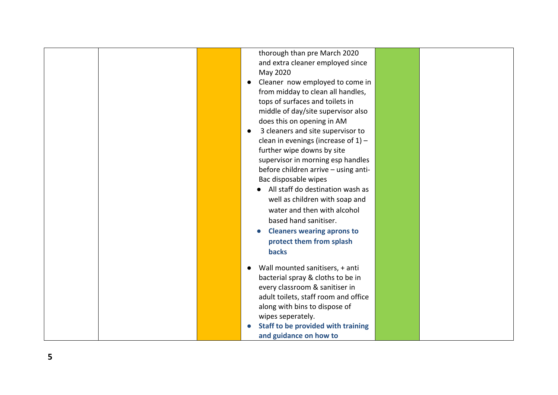|  | thorough than pre March 2020                   |  |  |
|--|------------------------------------------------|--|--|
|  | and extra cleaner employed since               |  |  |
|  | May 2020                                       |  |  |
|  | Cleaner now employed to come in<br>$\bullet$   |  |  |
|  | from midday to clean all handles,              |  |  |
|  | tops of surfaces and toilets in                |  |  |
|  | middle of day/site supervisor also             |  |  |
|  | does this on opening in AM                     |  |  |
|  | 3 cleaners and site supervisor to<br>$\bullet$ |  |  |
|  | clean in evenings (increase of $1$ ) -         |  |  |
|  | further wipe downs by site                     |  |  |
|  | supervisor in morning esp handles              |  |  |
|  | before children arrive - using anti-           |  |  |
|  | Bac disposable wipes                           |  |  |
|  | All staff do destination wash as               |  |  |
|  | well as children with soap and                 |  |  |
|  | water and then with alcohol                    |  |  |
|  | based hand sanitiser.                          |  |  |
|  | <b>Cleaners wearing aprons to</b>              |  |  |
|  | protect them from splash                       |  |  |
|  | <b>backs</b>                                   |  |  |
|  |                                                |  |  |
|  | Wall mounted sanitisers, + anti<br>$\bullet$   |  |  |
|  | bacterial spray & cloths to be in              |  |  |
|  | every classroom & sanitiser in                 |  |  |
|  | adult toilets, staff room and office           |  |  |
|  | along with bins to dispose of                  |  |  |
|  | wipes seperately.                              |  |  |
|  | Staff to be provided with training             |  |  |
|  | and guidance on how to                         |  |  |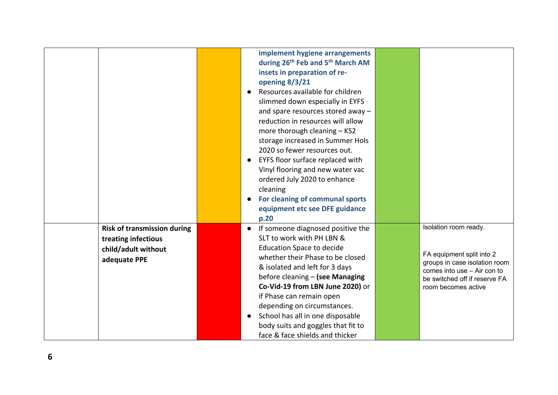|                                                                                                  | implement hygiene arrangements<br>during 26 <sup>th</sup> Feb and 5 <sup>th</sup> March AM<br>insets in preparation of re-<br>opening 8/3/21<br>Resources available for children<br>$\bullet$<br>slimmed down especially in EYFS<br>and spare resources stored away -<br>reduction in resources will allow<br>more thorough cleaning - KS2<br>storage increased in Summer Hols<br>2020 so fewer resources out.<br>EYFS floor surface replaced with<br>$\bullet$<br>Vinyl flooring and new water vac<br>ordered July 2020 to enhance<br>cleaning<br>For cleaning of communal sports<br>equipment etc see DFE guidance<br>p.20 |                                                                                                                                                                            |
|--------------------------------------------------------------------------------------------------|------------------------------------------------------------------------------------------------------------------------------------------------------------------------------------------------------------------------------------------------------------------------------------------------------------------------------------------------------------------------------------------------------------------------------------------------------------------------------------------------------------------------------------------------------------------------------------------------------------------------------|----------------------------------------------------------------------------------------------------------------------------------------------------------------------------|
| <b>Risk of transmission during</b><br>treating infectious<br>child/adult without<br>adequate PPE | If someone diagnosed positive the<br>SLT to work with PH LBN &<br><b>Education Space to decide</b><br>whether their Phase to be closed<br>& isolated and left for 3 days<br>before cleaning - (see Managing<br>Co-Vid-19 from LBN June 2020) or<br>if Phase can remain open<br>depending on circumstances.<br>School has all in one disposable<br>body suits and goggles that fit to<br>face & face shields and thicker                                                                                                                                                                                                      | Isolation room ready.<br>FA equipment split into 2<br>groups in case isolation room<br>comes into use - Air con to<br>be switched off if reserve FA<br>room becomes active |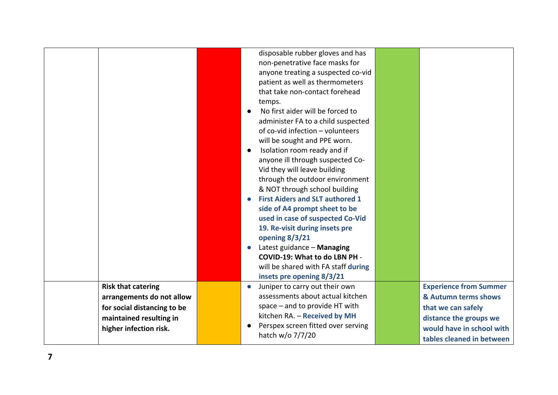|                             |           | disposable rubber gloves and has       |                               |
|-----------------------------|-----------|----------------------------------------|-------------------------------|
|                             |           | non-penetrative face masks for         |                               |
|                             |           | anyone treating a suspected co-vid     |                               |
|                             |           | patient as well as thermometers        |                               |
|                             |           | that take non-contact forehead         |                               |
|                             |           | temps.                                 |                               |
|                             |           | No first aider will be forced to       |                               |
|                             |           | administer FA to a child suspected     |                               |
|                             |           | of co-vid infection - volunteers       |                               |
|                             |           | will be sought and PPE worn.           |                               |
|                             | $\bullet$ | Isolation room ready and if            |                               |
|                             |           | anyone ill through suspected Co-       |                               |
|                             |           | Vid they will leave building           |                               |
|                             |           | through the outdoor environment        |                               |
|                             |           | & NOT through school building          |                               |
|                             |           | <b>First Aiders and SLT authored 1</b> |                               |
|                             |           | side of A4 prompt sheet to be          |                               |
|                             |           | used in case of suspected Co-Vid       |                               |
|                             |           | 19. Re-visit during insets pre         |                               |
|                             |           | opening 8/3/21                         |                               |
|                             |           | Latest guidance - Managing             |                               |
|                             |           | COVID-19: What to do LBN PH -          |                               |
|                             |           | will be shared with FA staff during    |                               |
|                             |           | insets pre opening 8/3/21              |                               |
| <b>Risk that catering</b>   | $\bullet$ | Juniper to carry out their own         | <b>Experience from Summer</b> |
| arrangements do not allow   |           | assessments about actual kitchen       | & Autumn terms shows          |
| for social distancing to be |           | space $-$ and to provide HT with       | that we can safely            |
| maintained resulting in     |           | kitchen RA. - Received by MH           | distance the groups we        |
| higher infection risk.      |           | Perspex screen fitted over serving     | would have in school with     |
|                             |           | hatch w/o 7/7/20                       | tables cleaned in between     |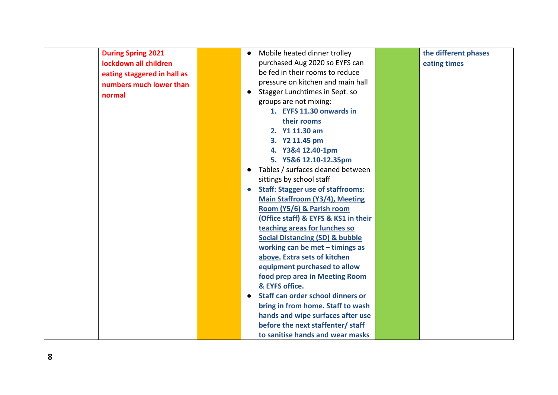| <b>During Spring 2021</b>   | $\bullet$ | Mobile heated dinner trolley               | the different phases |
|-----------------------------|-----------|--------------------------------------------|----------------------|
| lockdown all children       |           | purchased Aug 2020 so EYFS can             | eating times         |
| eating staggered in hall as |           | be fed in their rooms to reduce            |                      |
| numbers much lower than     |           | pressure on kitchen and main hall          |                      |
| normal                      | $\bullet$ | Stagger Lunchtimes in Sept. so             |                      |
|                             |           | groups are not mixing:                     |                      |
|                             |           | 1. EYFS 11.30 onwards in                   |                      |
|                             |           | their rooms                                |                      |
|                             |           | 2. Y1 11.30 am                             |                      |
|                             |           | 3. Y2 11.45 pm                             |                      |
|                             |           | 4. Y3&4 12.40-1pm                          |                      |
|                             |           | 5. Y5&6 12.10-12.35pm                      |                      |
|                             | $\bullet$ | Tables / surfaces cleaned between          |                      |
|                             |           | sittings by school staff                   |                      |
|                             | $\bullet$ | <b>Staff: Stagger use of staffrooms:</b>   |                      |
|                             |           | <b>Main Staffroom (Y3/4), Meeting</b>      |                      |
|                             |           | Room (Y5/6) & Parish room                  |                      |
|                             |           | (Office staff) & EYFS & KS1 in their       |                      |
|                             |           | teaching areas for lunches so              |                      |
|                             |           | <b>Social Distancing (SD) &amp; bubble</b> |                      |
|                             |           | working can be met - timings as            |                      |
|                             |           | above. Extra sets of kitchen               |                      |
|                             |           | equipment purchased to allow               |                      |
|                             |           | food prep area in Meeting Room             |                      |
|                             |           | & EYFS office.                             |                      |
|                             | $\bullet$ | Staff can order school dinners or          |                      |
|                             |           | bring in from home. Staff to wash          |                      |
|                             |           | hands and wipe surfaces after use          |                      |
|                             |           | before the next staffenter/ staff          |                      |
|                             |           | to sanitise hands and wear masks           |                      |

**8**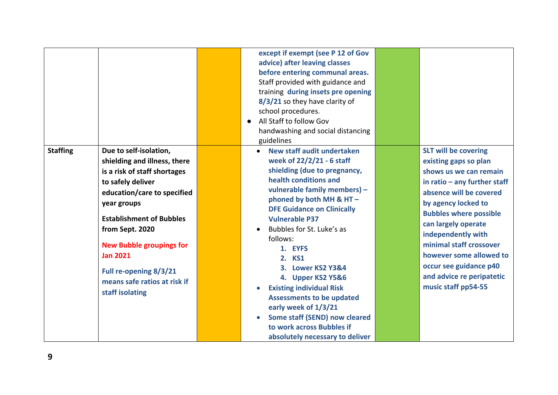|                 |                                 | except if exempt (see P 12 of Gov                          |                                |
|-----------------|---------------------------------|------------------------------------------------------------|--------------------------------|
|                 |                                 | advice) after leaving classes                              |                                |
|                 |                                 | before entering communal areas.                            |                                |
|                 |                                 | Staff provided with guidance and                           |                                |
|                 |                                 | training during insets pre opening                         |                                |
|                 |                                 | 8/3/21 so they have clarity of                             |                                |
|                 |                                 | school procedures.                                         |                                |
|                 |                                 | All Staff to follow Gov<br>$\bullet$                       |                                |
|                 |                                 | handwashing and social distancing                          |                                |
|                 |                                 | guidelines                                                 |                                |
| <b>Staffing</b> | Due to self-isolation,          | New staff audit undertaken                                 | <b>SLT will be covering</b>    |
|                 | shielding and illness, there    | week of 22/2/21 - 6 staff                                  | existing gaps so plan          |
|                 | is a risk of staff shortages    | shielding (due to pregnancy,                               | shows us we can remain         |
|                 | to safely deliver               | health conditions and                                      | in ratio $-$ any further staff |
|                 | education/care to specified     | vulnerable family members) -                               | absence will be covered        |
|                 | year groups                     | phoned by both MH & HT-                                    | by agency locked to            |
|                 |                                 | <b>DFE Guidance on Clinically</b>                          | <b>Bubbles where possible</b>  |
|                 | <b>Establishment of Bubbles</b> | <b>Vulnerable P37</b>                                      | can largely operate            |
|                 | from Sept. 2020                 | Bubbles for St. Luke's as                                  | independently with             |
|                 | <b>New Bubble groupings for</b> | follows:                                                   | minimal staff crossover        |
|                 | <b>Jan 2021</b>                 | 1. EYFS                                                    | however some allowed to        |
|                 |                                 | 2. KS1                                                     | occur see guidance p40         |
|                 | Full re-opening 8/3/21          | 3. Lower KS2 Y3&4                                          | and advice re peripatetic      |
|                 | means safe ratios at risk if    | 4. Upper KS2 Y5&6                                          | music staff pp54-55            |
|                 | staff isolating                 | <b>Existing individual Risk</b>                            |                                |
|                 |                                 | <b>Assessments to be updated</b>                           |                                |
|                 |                                 | early week of 1/3/21                                       |                                |
|                 |                                 | Some staff (SEND) now cleared<br>to work across Bubbles if |                                |
|                 |                                 |                                                            |                                |
|                 |                                 | absolutely necessary to deliver                            |                                |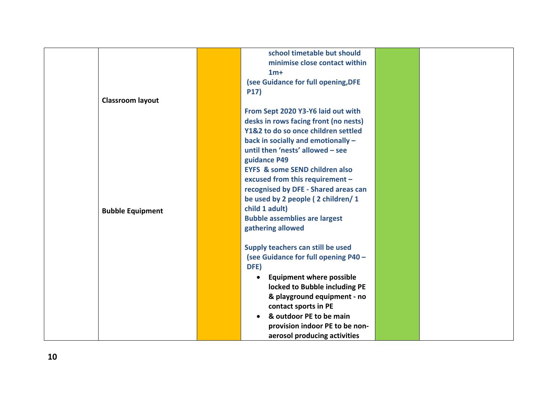|                         | school timetable but should                  |  |
|-------------------------|----------------------------------------------|--|
|                         | minimise close contact within                |  |
|                         | $1m+$                                        |  |
|                         | (see Guidance for full opening, DFE          |  |
|                         | <b>P17)</b>                                  |  |
| <b>Classroom layout</b> |                                              |  |
|                         | From Sept 2020 Y3-Y6 laid out with           |  |
|                         | desks in rows facing front (no nests)        |  |
|                         | Y1&2 to do so once children settled          |  |
|                         | back in socially and emotionally -           |  |
|                         | until then 'nests' allowed - see             |  |
|                         | guidance P49                                 |  |
|                         | <b>EYFS &amp; some SEND children also</b>    |  |
|                         | excused from this requirement -              |  |
|                         | recognised by DFE - Shared areas can         |  |
|                         | be used by 2 people (2 children/1            |  |
| <b>Bubble Equipment</b> | child 1 adult)                               |  |
|                         | <b>Bubble assemblies are largest</b>         |  |
|                         | gathering allowed                            |  |
|                         |                                              |  |
|                         | Supply teachers can still be used            |  |
|                         | (see Guidance for full opening P40 -         |  |
|                         | DFE)                                         |  |
|                         | <b>Equipment where possible</b><br>$\bullet$ |  |
|                         | locked to Bubble including PE                |  |
|                         | & playground equipment - no                  |  |
|                         | contact sports in PE                         |  |
|                         | & outdoor PE to be main<br>$\bullet$         |  |
|                         | provision indoor PE to be non-               |  |
|                         | aerosol producing activities                 |  |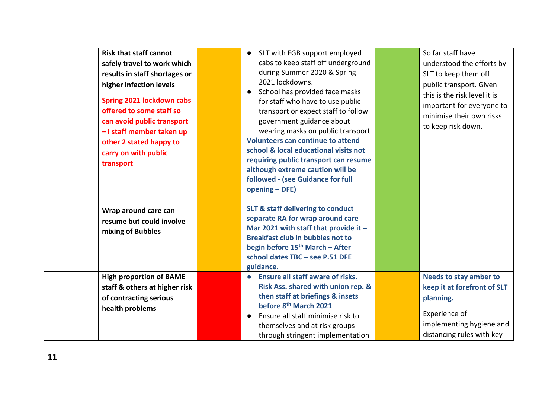| <b>Risk that staff cannot</b>                                                                                                                                              | • SLT with FGB support employed                                                                                                                                                                                                                                          | So far staff have                                                                                                                                   |
|----------------------------------------------------------------------------------------------------------------------------------------------------------------------------|--------------------------------------------------------------------------------------------------------------------------------------------------------------------------------------------------------------------------------------------------------------------------|-----------------------------------------------------------------------------------------------------------------------------------------------------|
| safely travel to work which                                                                                                                                                | cabs to keep staff off underground                                                                                                                                                                                                                                       | understood the efforts by                                                                                                                           |
| results in staff shortages or                                                                                                                                              | during Summer 2020 & Spring                                                                                                                                                                                                                                              | SLT to keep them off                                                                                                                                |
| higher infection levels                                                                                                                                                    | 2021 lockdowns.<br>School has provided face masks<br>$\bullet$                                                                                                                                                                                                           | public transport. Given<br>this is the risk level it is                                                                                             |
| <b>Spring 2021 lockdown cabs</b><br>offered to some staff so<br>can avoid public transport<br>- I staff member taken up<br>other 2 stated happy to<br>carry on with public | for staff who have to use public<br>transport or expect staff to follow<br>government guidance about<br>wearing masks on public transport<br><b>Volunteers can continue to attend</b><br>school & local educational visits not                                           | important for everyone to<br>minimise their own risks<br>to keep risk down.                                                                         |
| transport                                                                                                                                                                  | requiring public transport can resume<br>although extreme caution will be<br>followed - (see Guidance for full<br>opening - DFE)                                                                                                                                         |                                                                                                                                                     |
| Wrap around care can<br>resume but could involve<br>mixing of Bubbles                                                                                                      | <b>SLT &amp; staff delivering to conduct</b><br>separate RA for wrap around care<br>Mar 2021 with staff that provide it $-$<br><b>Breakfast club in bubbles not to</b><br>begin before 15 <sup>th</sup> March - After<br>school dates TBC - see P.51 DFE<br>guidance.    |                                                                                                                                                     |
| <b>High proportion of BAME</b><br>staff & others at higher risk<br>of contracting serious<br>health problems                                                               | • Ensure all staff aware of risks.<br>Risk Ass. shared with union rep. &<br>then staff at briefings & insets<br>before 8 <sup>th</sup> March 2021<br>Ensure all staff minimise risk to<br>$\bullet$<br>themselves and at risk groups<br>through stringent implementation | <b>Needs to stay amber to</b><br>keep it at forefront of SLT<br>planning.<br>Experience of<br>implementing hygiene and<br>distancing rules with key |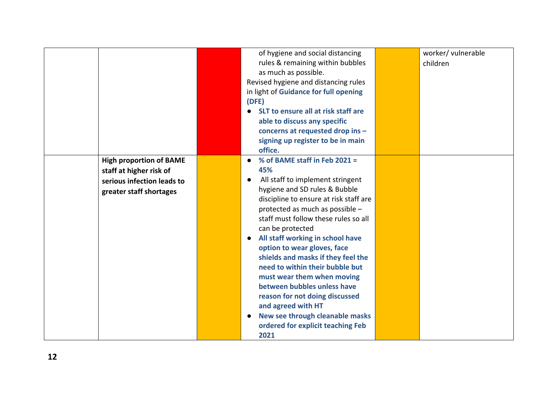|                                                                                                                    | of hygiene and social distancing<br>rules & remaining within bubbles<br>as much as possible.<br>Revised hygiene and distancing rules<br>in light of Guidance for full opening<br>(DFE)<br>SLT to ensure all at risk staff are<br>able to discuss any specific<br>concerns at requested drop ins -<br>signing up register to be in main<br>office.                                                                                                                                                                                                                                                                             | worker/ vulnerable<br>children |
|--------------------------------------------------------------------------------------------------------------------|-------------------------------------------------------------------------------------------------------------------------------------------------------------------------------------------------------------------------------------------------------------------------------------------------------------------------------------------------------------------------------------------------------------------------------------------------------------------------------------------------------------------------------------------------------------------------------------------------------------------------------|--------------------------------|
| <b>High proportion of BAME</b><br>staff at higher risk of<br>serious infection leads to<br>greater staff shortages | % of BAME staff in Feb 2021 =<br>$\bullet$<br>45%<br>All staff to implement stringent<br>hygiene and SD rules & Bubble<br>discipline to ensure at risk staff are<br>protected as much as possible -<br>staff must follow these rules so all<br>can be protected<br>All staff working in school have<br>$\bullet$<br>option to wear gloves, face<br>shields and masks if they feel the<br>need to within their bubble but<br>must wear them when moving<br>between bubbles unless have<br>reason for not doing discussed<br>and agreed with HT<br>New see through cleanable masks<br>ordered for explicit teaching Feb<br>2021 |                                |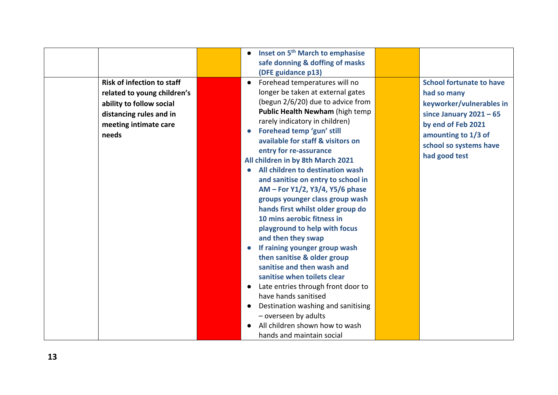|                                   | Inset on 5 <sup>th</sup> March to emphasise<br>safe donning & doffing of masks |                                 |
|-----------------------------------|--------------------------------------------------------------------------------|---------------------------------|
|                                   | (DFE guidance p13)                                                             |                                 |
| <b>Risk of infection to staff</b> | Forehead temperatures will no<br>$\bullet$                                     | <b>School fortunate to have</b> |
| related to young children's       | longer be taken at external gates                                              | had so many                     |
| ability to follow social          | (begun 2/6/20) due to advice from<br>Public Health Newham (high temp           | keyworker/vulnerables in        |
| distancing rules and in           | rarely indicatory in children)                                                 | since January $2021 - 65$       |
| meeting intimate care             | Forehead temp 'gun' still<br>$\bullet$                                         | by end of Feb 2021              |
| needs                             | available for staff & visitors on                                              | amounting to 1/3 of             |
|                                   | entry for re-assurance                                                         | school so systems have          |
|                                   | All children in by 8th March 2021                                              | had good test                   |
|                                   | All children to destination wash<br>$\bullet$                                  |                                 |
|                                   | and sanitise on entry to school in                                             |                                 |
|                                   | AM - For Y1/2, Y3/4, Y5/6 phase                                                |                                 |
|                                   | groups younger class group wash                                                |                                 |
|                                   | hands first whilst older group do<br>10 mins aerobic fitness in                |                                 |
|                                   | playground to help with focus                                                  |                                 |
|                                   | and then they swap                                                             |                                 |
|                                   | If raining younger group wash                                                  |                                 |
|                                   | then sanitise & older group                                                    |                                 |
|                                   | sanitise and then wash and                                                     |                                 |
|                                   | sanitise when toilets clear                                                    |                                 |
|                                   | Late entries through front door to<br>$\bullet$                                |                                 |
|                                   | have hands sanitised                                                           |                                 |
|                                   | Destination washing and sanitising<br>$\bullet$                                |                                 |
|                                   | - overseen by adults<br>All children shown how to wash                         |                                 |
|                                   | hands and maintain social                                                      |                                 |
|                                   |                                                                                |                                 |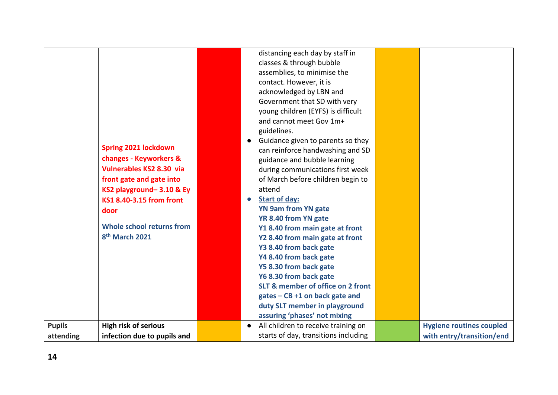| <b>Spring 2021 lockdown</b><br>changes - Keyworkers &<br>Vulnerables KS2 8.30 via<br>front gate and gate into<br>KS2 playground-3.10 & Ey<br>KS1 8.40-3.15 from front<br>door<br>Whole school returns from<br>8 <sup>th</sup> March 2021<br><b>Pupils</b><br><b>High risk of serious</b> | $\bullet$<br>$\bullet$<br>$\bullet$ | young children (EYFS) is difficult<br>and cannot meet Gov 1m+<br>guidelines.<br>Guidance given to parents so they<br>can reinforce handwashing and SD<br>guidance and bubble learning<br>during communications first week<br>of March before children begin to<br>attend<br><b>Start of day:</b><br><b>YN 9am from YN gate</b><br>YR 8.40 from YN gate<br>Y1 8.40 from main gate at front<br>Y2 8.40 from main gate at front<br>Y3 8.40 from back gate<br>Y4 8.40 from back gate<br>Y5 8.30 from back gate<br>Y6 8.30 from back gate<br>SLT & member of office on 2 front<br>$gates - CB + 1$ on back gate and<br>duty SLT member in playground<br>assuring 'phases' not mixing<br>All children to receive training on | <b>Hygiene routines coupled</b> |
|------------------------------------------------------------------------------------------------------------------------------------------------------------------------------------------------------------------------------------------------------------------------------------------|-------------------------------------|------------------------------------------------------------------------------------------------------------------------------------------------------------------------------------------------------------------------------------------------------------------------------------------------------------------------------------------------------------------------------------------------------------------------------------------------------------------------------------------------------------------------------------------------------------------------------------------------------------------------------------------------------------------------------------------------------------------------|---------------------------------|
| infection due to pupils and<br>attending                                                                                                                                                                                                                                                 |                                     | starts of day, transitions including                                                                                                                                                                                                                                                                                                                                                                                                                                                                                                                                                                                                                                                                                   | with entry/transition/end       |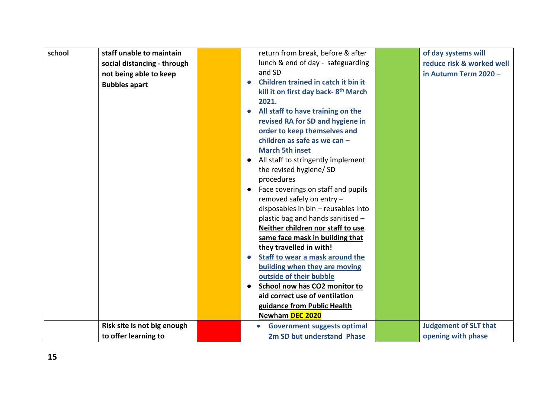| school | staff unable to maintain    |           | return from break, before & after               | of day systems will          |
|--------|-----------------------------|-----------|-------------------------------------------------|------------------------------|
|        | social distancing - through |           | lunch & end of day - safeguarding               | reduce risk & worked well    |
|        | not being able to keep      |           | and SD                                          | in Autumn Term 2020 -        |
|        | <b>Bubbles apart</b>        | $\bullet$ | Children trained in catch it bin it             |                              |
|        |                             |           | kill it on first day back-8 <sup>th</sup> March |                              |
|        |                             |           | 2021.                                           |                              |
|        |                             | $\bullet$ | All staff to have training on the               |                              |
|        |                             |           | revised RA for SD and hygiene in                |                              |
|        |                             |           | order to keep themselves and                    |                              |
|        |                             |           | children as safe as we can -                    |                              |
|        |                             |           | <b>March 5th inset</b>                          |                              |
|        |                             | $\bullet$ | All staff to stringently implement              |                              |
|        |                             |           | the revised hygiene/ SD                         |                              |
|        |                             |           | procedures                                      |                              |
|        |                             | $\bullet$ | Face coverings on staff and pupils              |                              |
|        |                             |           | removed safely on entry -                       |                              |
|        |                             |           | disposables in bin - reusables into             |                              |
|        |                             |           | plastic bag and hands sanitised -               |                              |
|        |                             |           | Neither children nor staff to use               |                              |
|        |                             |           | same face mask in building that                 |                              |
|        |                             |           | they travelled in with!                         |                              |
|        |                             | $\bullet$ | Staff to wear a mask around the                 |                              |
|        |                             |           | building when they are moving                   |                              |
|        |                             |           | outside of their bubble                         |                              |
|        |                             | $\bullet$ | School now has CO2 monitor to                   |                              |
|        |                             |           | aid correct use of ventilation                  |                              |
|        |                             |           | guidance from Public Health                     |                              |
|        |                             |           | Newham DEC 2020                                 |                              |
|        | Risk site is not big enough |           | <b>Government suggests optimal</b>              | <b>Judgement of SLT that</b> |
|        | to offer learning to        |           | 2m SD but understand Phase                      | opening with phase           |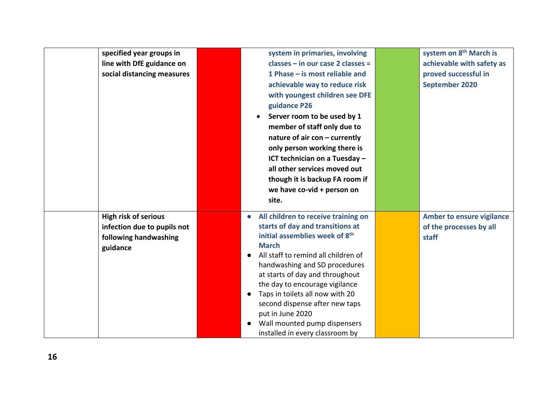| specified year groups in    | system in primaries, involving                     | system on 8 <sup>th</sup> March is |
|-----------------------------|----------------------------------------------------|------------------------------------|
| line with DfE guidance on   | classes - in our case 2 classes =                  | achievable with safety as          |
| social distancing measures  | 1 Phase – is most reliable and                     | proved successful in               |
|                             | achievable way to reduce risk                      | <b>September 2020</b>              |
|                             | with youngest children see DFE                     |                                    |
|                             | guidance P26                                       |                                    |
|                             | Server room to be used by 1                        |                                    |
|                             | member of staff only due to                        |                                    |
|                             | nature of air con - currently                      |                                    |
|                             | only person working there is                       |                                    |
|                             | ICT technician on a Tuesday -                      |                                    |
|                             | all other services moved out                       |                                    |
|                             | though it is backup FA room if                     |                                    |
|                             | we have co-vid + person on                         |                                    |
|                             | site.                                              |                                    |
| <b>High risk of serious</b> | All children to receive training on<br>$\bullet$   | <b>Amber to ensure vigilance</b>   |
| infection due to pupils not | starts of day and transitions at                   | of the processes by all            |
| following handwashing       | initial assemblies week of 8 <sup>th</sup>         | staff                              |
| guidance                    | <b>March</b>                                       |                                    |
|                             | All staff to remind all children of                |                                    |
|                             | handwashing and SD procedures                      |                                    |
|                             | at starts of day and throughout                    |                                    |
|                             | the day to encourage vigilance                     |                                    |
|                             | Taps in toilets all now with 20<br>$\bullet$       |                                    |
|                             | second dispense after new taps<br>put in June 2020 |                                    |
|                             | Wall mounted pump dispensers                       |                                    |
|                             | installed in every classroom by                    |                                    |
|                             |                                                    |                                    |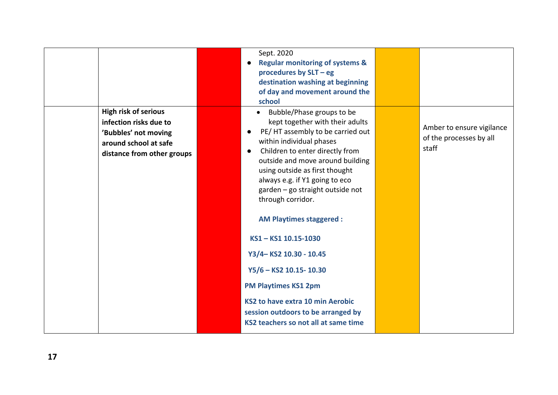| <b>High risk of serious</b>                                                                           | Sept. 2020<br><b>Regular monitoring of systems &amp;</b><br>procedures by SLT - eg<br>destination washing at beginning<br>of day and movement around the<br>school<br>Bubble/Phase groups to be<br>$\bullet$                                                                                                                                                                          |                                                               |
|-------------------------------------------------------------------------------------------------------|---------------------------------------------------------------------------------------------------------------------------------------------------------------------------------------------------------------------------------------------------------------------------------------------------------------------------------------------------------------------------------------|---------------------------------------------------------------|
| infection risks due to<br>'Bubbles' not moving<br>around school at safe<br>distance from other groups | kept together with their adults<br>PE/HT assembly to be carried out<br>$\bullet$<br>within individual phases<br>Children to enter directly from<br>$\bullet$<br>outside and move around building<br>using outside as first thought<br>always e.g. if Y1 going to eco<br>garden - go straight outside not<br>through corridor.<br><b>AM Playtimes staggered:</b><br>KS1-KS1 10.15-1030 | Amber to ensure vigilance<br>of the processes by all<br>staff |
|                                                                                                       | Y3/4-KS2 10.30 - 10.45<br>Y5/6 - KS2 10.15-10.30<br><b>PM Playtimes KS1 2pm</b><br>KS2 to have extra 10 min Aerobic<br>session outdoors to be arranged by<br>KS2 teachers so not all at same time                                                                                                                                                                                     |                                                               |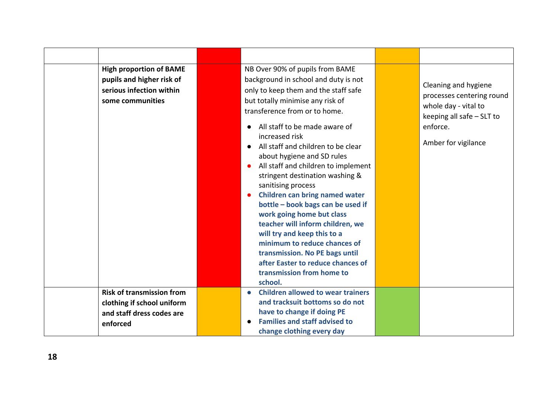| <b>High proportion of BAME</b><br>pupils and higher risk of<br>serious infection within<br>some communities | NB Over 90% of pupils from BAME<br>background in school and duty is not<br>only to keep them and the staff safe<br>but totally minimise any risk of<br>transference from or to home.<br>All staff to be made aware of<br>increased risk<br>All staff and children to be clear<br>$\bullet$<br>about hygiene and SD rules<br>All staff and children to implement<br>stringent destination washing &<br>sanitising process<br><b>Children can bring named water</b><br>bottle - book bags can be used if<br>work going home but class<br>teacher will inform children, we<br>will try and keep this to a<br>minimum to reduce chances of<br>transmission. No PE bags until<br>after Easter to reduce chances of<br>transmission from home to<br>school. | Cleaning and hygiene<br>processes centering round<br>whole day - vital to<br>keeping all safe - SLT to<br>enforce.<br>Amber for vigilance |
|-------------------------------------------------------------------------------------------------------------|-------------------------------------------------------------------------------------------------------------------------------------------------------------------------------------------------------------------------------------------------------------------------------------------------------------------------------------------------------------------------------------------------------------------------------------------------------------------------------------------------------------------------------------------------------------------------------------------------------------------------------------------------------------------------------------------------------------------------------------------------------|-------------------------------------------------------------------------------------------------------------------------------------------|
| <b>Risk of transmission from</b><br>clothing if school uniform<br>and staff dress codes are<br>enforced     | <b>Children allowed to wear trainers</b><br>$\bullet$<br>and tracksuit bottoms so do not<br>have to change if doing PE<br><b>Families and staff advised to</b><br>change clothing every day                                                                                                                                                                                                                                                                                                                                                                                                                                                                                                                                                           |                                                                                                                                           |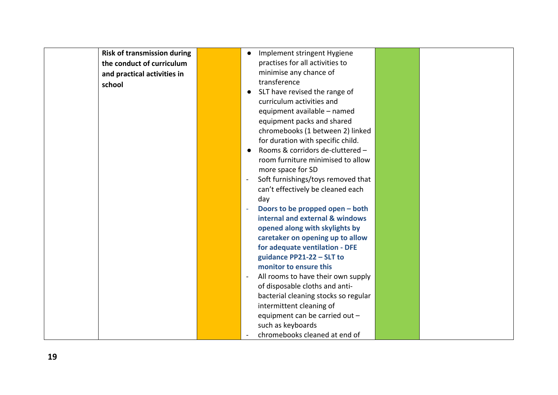| <b>Risk of transmission during</b> | Implement stringent Hygiene<br>$\bullet$                       |  |
|------------------------------------|----------------------------------------------------------------|--|
| the conduct of curriculum          | practises for all activities to                                |  |
| and practical activities in        | minimise any chance of                                         |  |
| school                             | transference                                                   |  |
|                                    | SLT have revised the range of<br>$\bullet$                     |  |
|                                    | curriculum activities and                                      |  |
|                                    | equipment available - named                                    |  |
|                                    | equipment packs and shared                                     |  |
|                                    | chromebooks (1 between 2) linked                               |  |
|                                    | for duration with specific child.                              |  |
|                                    | Rooms & corridors de-cluttered -                               |  |
|                                    | room furniture minimised to allow                              |  |
|                                    | more space for SD                                              |  |
|                                    | Soft furnishings/toys removed that<br>$\overline{\phantom{a}}$ |  |
|                                    | can't effectively be cleaned each                              |  |
|                                    | day                                                            |  |
|                                    | Doors to be propped open - both<br>$\equiv$                    |  |
|                                    | internal and external & windows                                |  |
|                                    | opened along with skylights by                                 |  |
|                                    | caretaker on opening up to allow                               |  |
|                                    | for adequate ventilation - DFE                                 |  |
|                                    | guidance PP21-22 - SLT to                                      |  |
|                                    | monitor to ensure this                                         |  |
|                                    | All rooms to have their own supply<br>$\blacksquare$           |  |
|                                    | of disposable cloths and anti-                                 |  |
|                                    | bacterial cleaning stocks so regular                           |  |
|                                    | intermittent cleaning of                                       |  |
|                                    | equipment can be carried out -                                 |  |
|                                    | such as keyboards                                              |  |
|                                    | chromebooks cleaned at end of                                  |  |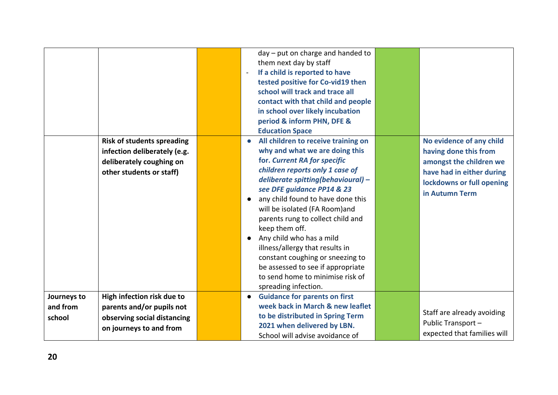|                                   |                                                                                                                           | day - put on charge and handed to<br>them next day by staff<br>If a child is reported to have<br>tested positive for Co-vid19 then<br>school will track and trace all<br>contact with that child and people<br>in school over likely incubation<br>period & inform PHN, DFE &<br><b>Education Space</b>                                                                                                                                                                                                                                                                 |                                                                                                                                                          |
|-----------------------------------|---------------------------------------------------------------------------------------------------------------------------|-------------------------------------------------------------------------------------------------------------------------------------------------------------------------------------------------------------------------------------------------------------------------------------------------------------------------------------------------------------------------------------------------------------------------------------------------------------------------------------------------------------------------------------------------------------------------|----------------------------------------------------------------------------------------------------------------------------------------------------------|
|                                   | <b>Risk of students spreading</b><br>infection deliberately (e.g.<br>deliberately coughing on<br>other students or staff) | All children to receive training on<br>$\bullet$<br>why and what we are doing this<br>for. Current RA for specific<br>children reports only 1 case of<br>deliberate spitting(behavioural) -<br>see DFE guidance PP14 & 23<br>any child found to have done this<br>$\bullet$<br>will be isolated (FA Room)and<br>parents rung to collect child and<br>keep them off.<br>Any child who has a mild<br>illness/allergy that results in<br>constant coughing or sneezing to<br>be assessed to see if appropriate<br>to send home to minimise risk of<br>spreading infection. | No evidence of any child<br>having done this from<br>amongst the children we<br>have had in either during<br>lockdowns or full opening<br>in Autumn Term |
| Journeys to<br>and from<br>school | High infection risk due to<br>parents and/or pupils not<br>observing social distancing<br>on journeys to and from         | <b>Guidance for parents on first</b><br>$\bullet$<br>week back in March & new leaflet<br>to be distributed in Spring Term<br>2021 when delivered by LBN.<br>School will advise avoidance of                                                                                                                                                                                                                                                                                                                                                                             | Staff are already avoiding<br>Public Transport -<br>expected that families will                                                                          |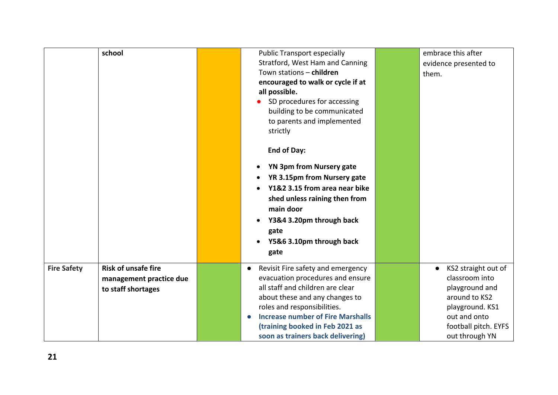|                    | school                     | <b>Public Transport especially</b>                    | embrace this after               |
|--------------------|----------------------------|-------------------------------------------------------|----------------------------------|
|                    |                            | Stratford, West Ham and Canning                       | evidence presented to            |
|                    |                            | Town stations - children                              | them.                            |
|                    |                            | encouraged to walk or cycle if at                     |                                  |
|                    |                            | all possible.                                         |                                  |
|                    |                            | SD procedures for accessing                           |                                  |
|                    |                            | building to be communicated                           |                                  |
|                    |                            | to parents and implemented                            |                                  |
|                    |                            | strictly                                              |                                  |
|                    |                            |                                                       |                                  |
|                    |                            | <b>End of Day:</b>                                    |                                  |
|                    |                            | YN 3pm from Nursery gate                              |                                  |
|                    |                            | YR 3.15pm from Nursery gate                           |                                  |
|                    |                            | Y1&2 3.15 from area near bike                         |                                  |
|                    |                            | shed unless raining then from                         |                                  |
|                    |                            | main door                                             |                                  |
|                    |                            |                                                       |                                  |
|                    |                            | Y3&4 3.20pm through back                              |                                  |
|                    |                            | gate                                                  |                                  |
|                    |                            | Y5&6 3.10pm through back                              |                                  |
|                    |                            | gate                                                  |                                  |
| <b>Fire Safety</b> | <b>Risk of unsafe fire</b> | Revisit Fire safety and emergency<br>$\bullet$        | KS2 straight out of<br>$\bullet$ |
|                    | management practice due    | evacuation procedures and ensure                      | classroom into                   |
|                    | to staff shortages         | all staff and children are clear                      | playground and                   |
|                    |                            | about these and any changes to                        | around to KS2                    |
|                    |                            | roles and responsibilities.                           | playground. KS1                  |
|                    |                            | <b>Increase number of Fire Marshalls</b><br>$\bullet$ | out and onto                     |
|                    |                            | (training booked in Feb 2021 as                       | football pitch. EYFS             |
|                    |                            | soon as trainers back delivering)                     | out through YN                   |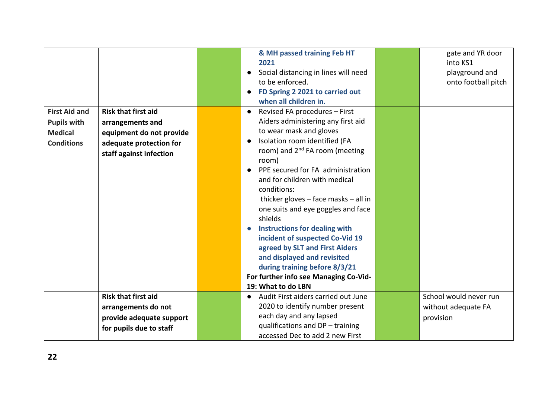|                      |                            | & MH passed training Feb HT                       | gate and YR door       |
|----------------------|----------------------------|---------------------------------------------------|------------------------|
|                      |                            | 2021                                              | into KS1               |
|                      |                            | Social distancing in lines will need<br>$\bullet$ | playground and         |
|                      |                            | to be enforced.                                   | onto football pitch    |
|                      |                            | FD Spring 2 2021 to carried out<br>$\bullet$      |                        |
|                      |                            | when all children in.                             |                        |
| <b>First Aid and</b> | <b>Risk that first aid</b> | Revised FA procedures - First<br>$\bullet$        |                        |
| <b>Pupils with</b>   | arrangements and           | Aiders administering any first aid                |                        |
| <b>Medical</b>       | equipment do not provide   | to wear mask and gloves                           |                        |
| <b>Conditions</b>    | adequate protection for    | Isolation room identified (FA                     |                        |
|                      | staff against infection    | room) and 2 <sup>nd</sup> FA room (meeting        |                        |
|                      |                            | room)                                             |                        |
|                      |                            | PPE secured for FA administration<br>$\bullet$    |                        |
|                      |                            | and for children with medical                     |                        |
|                      |                            | conditions:                                       |                        |
|                      |                            | thicker gloves - face masks - all in              |                        |
|                      |                            | one suits and eye goggles and face                |                        |
|                      |                            | shields                                           |                        |
|                      |                            | <b>Instructions for dealing with</b><br>$\bullet$ |                        |
|                      |                            | incident of suspected Co-Vid 19                   |                        |
|                      |                            | agreed by SLT and First Aiders                    |                        |
|                      |                            | and displayed and revisited                       |                        |
|                      |                            | during training before 8/3/21                     |                        |
|                      |                            | For further info see Managing Co-Vid-             |                        |
|                      |                            | 19: What to do LBN                                |                        |
|                      | <b>Risk that first aid</b> | Audit First aiders carried out June<br>$\bullet$  | School would never run |
|                      | arrangements do not        | 2020 to identify number present                   | without adequate FA    |
|                      | provide adequate support   | each day and any lapsed                           | provision              |
|                      | for pupils due to staff    | qualifications and DP - training                  |                        |
|                      |                            | accessed Dec to add 2 new First                   |                        |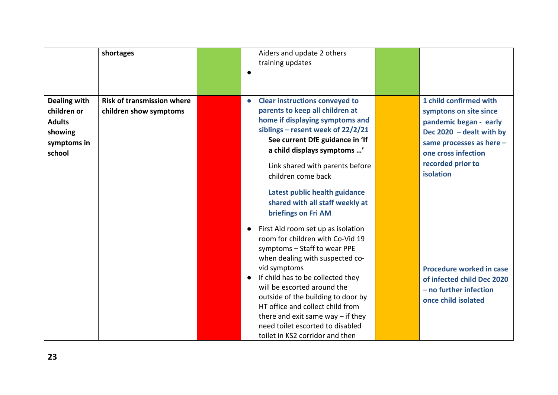|                                                                                         | shortages                                                   | Aiders and update 2 others<br>training updates                                                                                                                                                                                                                                                                                                                                                                                                                                                                                             |                                                                                                                                                                                               |
|-----------------------------------------------------------------------------------------|-------------------------------------------------------------|--------------------------------------------------------------------------------------------------------------------------------------------------------------------------------------------------------------------------------------------------------------------------------------------------------------------------------------------------------------------------------------------------------------------------------------------------------------------------------------------------------------------------------------------|-----------------------------------------------------------------------------------------------------------------------------------------------------------------------------------------------|
| <b>Dealing with</b><br>children or<br><b>Adults</b><br>showing<br>symptoms in<br>school | <b>Risk of transmission where</b><br>children show symptoms | <b>Clear instructions conveyed to</b><br>parents to keep all children at<br>home if displaying symptoms and<br>siblings – resent week of $22/2/21$<br>See current DfE guidance in 'If<br>a child displays symptoms '<br>Link shared with parents before<br>children come back                                                                                                                                                                                                                                                              | 1 child confirmed with<br>symptons on site since<br>pandemic began - early<br>Dec $2020 -$ dealt with by<br>same processes as here -<br>one cross infection<br>recorded prior to<br>isolation |
|                                                                                         |                                                             | Latest public health guidance<br>shared with all staff weekly at<br>briefings on Fri AM<br>First Aid room set up as isolation<br>$\bullet$<br>room for children with Co-Vid 19<br>symptoms - Staff to wear PPE<br>when dealing with suspected co-<br>vid symptoms<br>If child has to be collected they<br>$\bullet$<br>will be escorted around the<br>outside of the building to door by<br>HT office and collect child from<br>there and exit same way $-$ if they<br>need toilet escorted to disabled<br>toilet in KS2 corridor and then | Procedure worked in case<br>of infected child Dec 2020<br>- no further infection<br>once child isolated                                                                                       |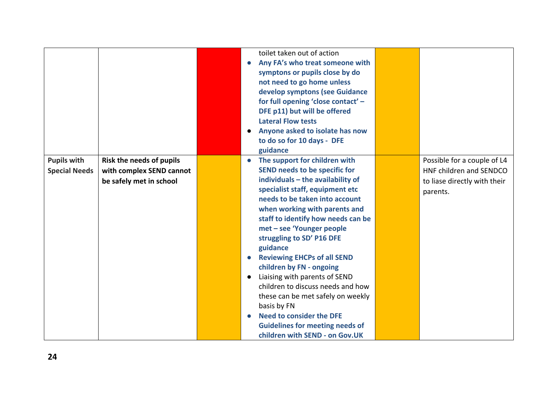|                                            |                                                                                 | toilet taken out of action<br>Any FA's who treat someone with<br>0<br>symptons or pupils close by do<br>not need to go home unless<br>develop symptons (see Guidance<br>for full opening 'close contact' -<br>DFE p11) but will be offered<br><b>Lateral Flow tests</b><br>Anyone asked to isolate has now<br>$\bullet$<br>to do so for 10 days - DFE<br>guidance                                                                                                                                                                                                                                                                                                       |                                                                                                    |
|--------------------------------------------|---------------------------------------------------------------------------------|-------------------------------------------------------------------------------------------------------------------------------------------------------------------------------------------------------------------------------------------------------------------------------------------------------------------------------------------------------------------------------------------------------------------------------------------------------------------------------------------------------------------------------------------------------------------------------------------------------------------------------------------------------------------------|----------------------------------------------------------------------------------------------------|
| <b>Pupils with</b><br><b>Special Needs</b> | Risk the needs of pupils<br>with complex SEND cannot<br>be safely met in school | The support for children with<br>$\bullet$<br>SEND needs to be specific for<br>individuals - the availability of<br>specialist staff, equipment etc<br>needs to be taken into account<br>when working with parents and<br>staff to identify how needs can be<br>met - see 'Younger people<br>struggling to SD' P16 DFE<br>guidance<br><b>Reviewing EHCPs of all SEND</b><br>$\bullet$<br>children by FN - ongoing<br>Liaising with parents of SEND<br>$\bullet$<br>children to discuss needs and how<br>these can be met safely on weekly<br>basis by FN<br><b>Need to consider the DFE</b><br><b>Guidelines for meeting needs of</b><br>children with SEND - on Gov.UK | Possible for a couple of L4<br>HNF children and SENDCO<br>to liase directly with their<br>parents. |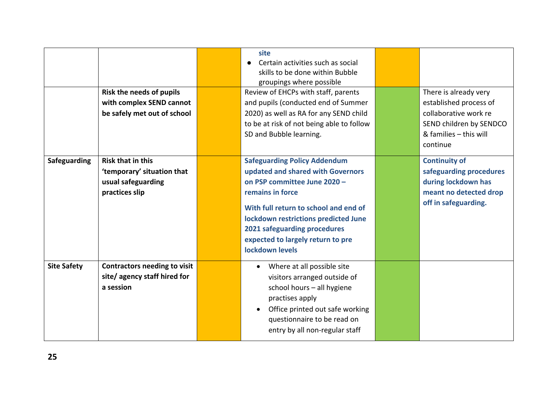|                    | Risk the needs of pupils<br>with complex SEND cannot<br>be safely met out of school            | site<br>Certain activities such as social<br>skills to be done within Bubble<br>groupings where possible<br>Review of EHCPs with staff, parents<br>and pupils (conducted end of Summer<br>2020) as well as RA for any SEND child<br>to be at risk of not being able to follow<br>SD and Bubble learning. | There is already very<br>established process of<br>collaborative work re<br>SEND children by SENDCO<br>& families - this will<br>continue |
|--------------------|------------------------------------------------------------------------------------------------|----------------------------------------------------------------------------------------------------------------------------------------------------------------------------------------------------------------------------------------------------------------------------------------------------------|-------------------------------------------------------------------------------------------------------------------------------------------|
| Safeguarding       | <b>Risk that in this</b><br>'temporary' situation that<br>usual safeguarding<br>practices slip | <b>Safeguarding Policy Addendum</b><br>updated and shared with Governors<br>on PSP committee June 2020 -<br>remains in force<br>With full return to school and end of<br>lockdown restrictions predicted June<br>2021 safeguarding procedures<br>expected to largely return to pre<br>lockdown levels    | <b>Continuity of</b><br>safeguarding procedures<br>during lockdown has<br>meant no detected drop<br>off in safeguarding.                  |
| <b>Site Safety</b> | <b>Contractors needing to visit</b><br>site/agency staff hired for<br>a session                | Where at all possible site<br>$\bullet$<br>visitors arranged outside of<br>school hours - all hygiene<br>practises apply<br>Office printed out safe working<br>questionnaire to be read on<br>entry by all non-regular staff                                                                             |                                                                                                                                           |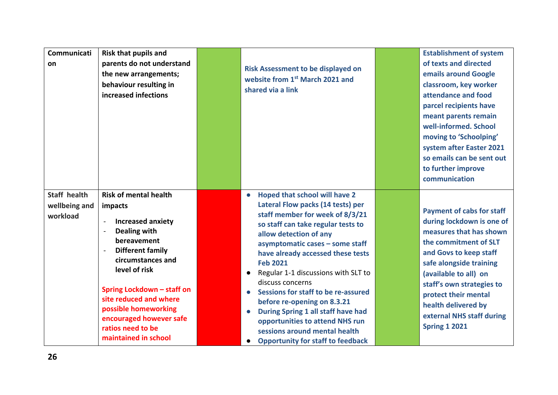| Communicati<br>on                                | <b>Risk that pupils and</b><br>parents do not understand<br>the new arrangements;<br>behaviour resulting in<br>increased infections                                                                                                                                                                                                                                    | <b>Risk Assessment to be displayed on</b><br>website from 1st March 2021 and<br>shared via a link                                                                                                                                                                                                                                                                                                                                                                                                                                                                                              | <b>Establishment of system</b><br>of texts and directed<br>emails around Google<br>classroom, key worker<br>attendance and food<br>parcel recipients have<br>meant parents remain<br>well-informed. School<br>moving to 'Schoolping'<br>system after Easter 2021<br>so emails can be sent out<br>to further improve<br>communication |
|--------------------------------------------------|------------------------------------------------------------------------------------------------------------------------------------------------------------------------------------------------------------------------------------------------------------------------------------------------------------------------------------------------------------------------|------------------------------------------------------------------------------------------------------------------------------------------------------------------------------------------------------------------------------------------------------------------------------------------------------------------------------------------------------------------------------------------------------------------------------------------------------------------------------------------------------------------------------------------------------------------------------------------------|--------------------------------------------------------------------------------------------------------------------------------------------------------------------------------------------------------------------------------------------------------------------------------------------------------------------------------------|
| <b>Staff health</b><br>wellbeing and<br>workload | <b>Risk of mental health</b><br>impacts<br><b>Increased anxiety</b><br>$\overline{a}$<br><b>Dealing with</b><br>$\overline{a}$<br>bereavement<br><b>Different family</b><br>circumstances and<br>level of risk<br>Spring Lockdown - staff on<br>site reduced and where<br>possible homeworking<br>encouraged however safe<br>ratios need to be<br>maintained in school | Hoped that school will have 2<br>$\bullet$<br>Lateral Flow packs (14 tests) per<br>staff member for week of 8/3/21<br>so staff can take regular tests to<br>allow detection of any<br>asymptomatic cases - some staff<br>have already accessed these tests<br><b>Feb 2021</b><br>Regular 1-1 discussions with SLT to<br>$\bullet$<br>discuss concerns<br>Sessions for staff to be re-assured<br>before re-opening on 8.3.21<br>During Spring 1 all staff have had<br>opportunities to attend NHS run<br>sessions around mental health<br><b>Opportunity for staff to feedback</b><br>$\bullet$ | <b>Payment of cabs for staff</b><br>during lockdown is one of<br>measures that has shown<br>the commitment of SLT<br>and Govs to keep staff<br>safe alongside training<br>(available to all) on<br>staff's own strategies to<br>protect their mental<br>health delivered by<br>external NHS staff during<br><b>Spring 1 2021</b>     |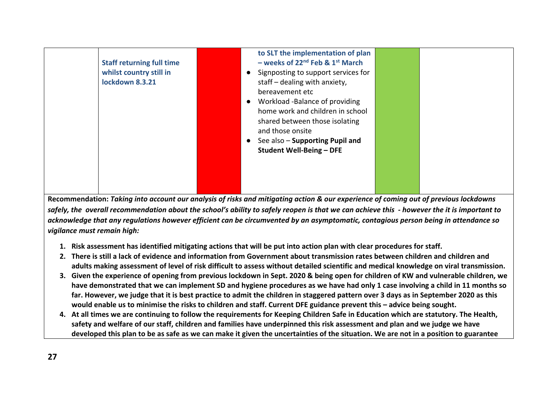| <b>Staff returning full time</b><br>whilst country still in<br>lockdown 8.3.21 | to SLT the implementation of plan<br>- weeks of $22^{nd}$ Feb & $1^{st}$ March<br>Signposting to support services for<br>$\bullet$<br>staff $-$ dealing with anxiety,<br>bereavement etc<br>Workload -Balance of providing<br>$\bullet$<br>home work and children in school<br>shared between those isolating<br>and those onsite<br>See also - Supporting Pupil and<br>$\bullet$<br><b>Student Well-Being - DFE</b> |  |
|--------------------------------------------------------------------------------|----------------------------------------------------------------------------------------------------------------------------------------------------------------------------------------------------------------------------------------------------------------------------------------------------------------------------------------------------------------------------------------------------------------------|--|
|--------------------------------------------------------------------------------|----------------------------------------------------------------------------------------------------------------------------------------------------------------------------------------------------------------------------------------------------------------------------------------------------------------------------------------------------------------------------------------------------------------------|--|

**Recommendation:** *Taking into account our analysis of risks and mitigating action & our experience of coming out of previous lockdowns safely, the overall recommendation about the school's ability to safely reopen is that we can achieve this - however the it is important to acknowledge that any regulations however efficient can be circumvented by an asymptomatic, contagious person being in attendance so vigilance must remain high:*

- **1. Risk assessment has identified mitigating actions that will be put into action plan with clear procedures for staff.**
- **2. There is still a lack of evidence and information from Government about transmission rates between children and children and adults making assessment of level of risk difficult to assess without detailed scientific and medical knowledge on viral transmission.**
- **3. Given the experience of opening from previous lockdown in Sept. 2020 & being open for children of KW and vulnerable children, we have demonstrated that we can implement SD and hygiene procedures as we have had only 1 case involving a child in 11 months so far. However, we judge that it is best practice to admit the children in staggered pattern over 3 days as in September 2020 as this would enable us to minimise the risks to children and staff. Current DFE guidance prevent this – advice being sought.**
- **4. At all times we are continuing to follow the requirements for Keeping Children Safe in Education which are statutory. The Health, safety and welfare of our staff, children and families have underpinned this risk assessment and plan and we judge we have developed this plan to be as safe as we can make it given the uncertainties of the situation. We are not in a position to guarantee**